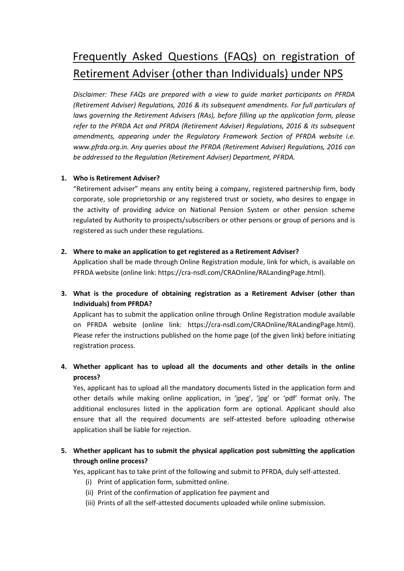# Frequently Asked Questions (FAQs) on registration of Retirement Adviser (other than Individuals) under NPS

*Disclaimer: These FAQs are prepared with a view to guide market participants on PFRDA (Retirement Adviser) Regulations, 2016 & its subsequent amendments. For full particulars of laws governing the Retirement Advisers (RAs), before filling up the application form, please refer to the PFRDA Act and PFRDA (Retirement Adviser) Regulations, 2016 & its subsequent amendments, appearing under the Regulatory Framework Section of PFRDA website i.e. www.pfrda.org.in. Any queries about the PFRDA (Retirement Adviser) Regulations, 2016 can be addressed to the Regulation (Retirement Adviser) Department, PFRDA.* 

## **1. Who is Retirement Adviser?**

"Retirement adviser" means any entity being a company, registered partnership firm, body corporate, sole proprietorship or any registered trust or society, who desires to engage in the activity of providing advice on National Pension System or other pension scheme regulated by Authority to prospects/subscribers or other persons or group of persons and is registered as such under these regulations.

## **2. Where to make an application to get registered as a Retirement Adviser?**

Application shall be made through Online Registration module, link for which, is available on PFRDA website (online link: [https://cra-nsdl.com/CRAOnline/RALandingPage.html\)](https://cra-nsdl.com/CRAOnline/RALandingPage.html).

**3. What is the procedure of obtaining registration as a Retirement Adviser (other than Individuals) from PFRDA?**

Applicant has to submit the application online through Online Registration module available on PFRDA website (online link: [https://cra-nsdl.com/CRAOnline/RALandingPage.html\)](https://cra-nsdl.com/CRAOnline/RALandingPage.html). Please refer the instructions published on the home page (of the given link) before initiating registration process.

**4. Whether applicant has to upload all the documents and other details in the online process?**

Yes, applicant has to upload all the mandatory documents listed in the application form and other details while making online application, in 'jpeg', 'jpg' or 'pdf' format only. The additional enclosures listed in the application form are optional. Applicant should also ensure that all the required documents are self-attested before uploading otherwise application shall be liable for rejection.

# **5. Whether applicant has to submit the physical application post submitting the application through online process?**

Yes, applicant has to take print of the following and submit to PFRDA, duly self-attested.

- (i) Print of application form, submitted online.
- (ii) Print of the confirmation of application fee payment and
- (iii) Prints of all the self-attested documents uploaded while online submission.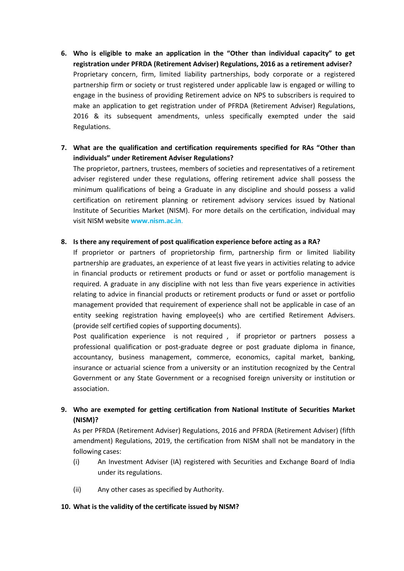- **6. Who is eligible to make an application in the "Other than individual capacity" to get registration under PFRDA (Retirement Adviser) Regulations, 2016 as a retirement adviser?** Proprietary concern, firm, limited liability partnerships, body corporate or a registered partnership firm or society or trust registered under applicable law is engaged or willing to engage in the business of providing Retirement advice on NPS to subscribers is required to make an application to get registration under of PFRDA (Retirement Adviser) Regulations, 2016 & its subsequent amendments, unless specifically exempted under the said Regulations.
- **7. What are the qualification and certification requirements specified for RAs "Other than individuals" under Retirement Adviser Regulations?**

The proprietor, partners, trustees, members of societies and representatives of a retirement adviser registered under these regulations, offering retirement advice shall possess the minimum qualifications of being a Graduate in any discipline and should possess a valid certification on retirement planning or retirement advisory services issued by National Institute of Securities Market (NISM). For more details on the certification, individual may visit NISM website **www.nism.ac.in**.

## **8. Is there any requirement of post qualification experience before acting as a RA?**

If proprietor or partners of proprietorship firm, partnership firm or limited liability partnership are graduates, an experience of at least five years in activities relating to advice in financial products or retirement products or fund or asset or portfolio management is required. A graduate in any discipline with not less than five years experience in activities relating to advice in financial products or retirement products or fund or asset or portfolio management provided that requirement of experience shall not be applicable in case of an entity seeking registration having employee(s) who are certified Retirement Advisers. (provide self certified copies of supporting documents).

Post qualification experience is not required, if proprietor or partners possess a professional qualification or post-graduate degree or post graduate diploma in finance, accountancy, business management, commerce, economics, capital market, banking, insurance or actuarial science from a university or an institution recognized by the Central Government or any State Government or a recognised foreign university or institution or association.

# **9. Who are exempted for getting certification from National Institute of Securities Market (NISM)?**

As per PFRDA (Retirement Adviser) Regulations, 2016 and PFRDA (Retirement Adviser) (fifth amendment) Regulations, 2019, the certification from NISM shall not be mandatory in the following cases:

- (i) An Investment Adviser (IA) registered with Securities and Exchange Board of India under its regulations.
- (ii) Any other cases as specified by Authority.

## **10. What is the validity of the certificate issued by NISM?**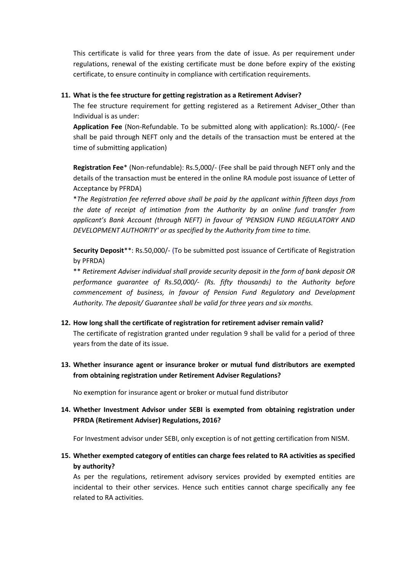This certificate is valid for three years from the date of issue. As per requirement under regulations, renewal of the existing certificate must be done before expiry of the existing certificate, to ensure continuity in compliance with certification requirements.

## **11. What is the fee structure for getting registration as a Retirement Adviser?**

The fee structure requirement for getting registered as a Retirement Adviser Other than Individual is as under:

**Application Fee** (Non-Refundable. To be submitted along with application): Rs.1000/- (Fee shall be paid through NEFT only and the details of the transaction must be entered at the time of submitting application)

**Registration Fee**\* (Non-refundable): Rs.5,000/- (Fee shall be paid through NEFT only and the details of the transaction must be entered in the online RA module post issuance of Letter of Acceptance by PFRDA)

\**The Registration fee referred above shall be paid by the applicant within fifteen days from the date of receipt of intimation from the Authority by an online fund transfer from applicant's Bank Account (through NEFT) in favour of 'PENSION FUND REGULATORY AND DEVELOPMENT AUTHORITY' or as specified by the Authority from time to time.* 

**Security Deposit**\*\*: Rs.50,000/- (To be submitted post issuance of Certificate of Registration by PFRDA)

\*\* *Retirement Adviser individual shall provide security deposit in the form of bank deposit OR performance guarantee of Rs.50,000/- (Rs. fifty thousands) to the Authority before commencement of business, in favour of Pension Fund Regulatory and Development Authority. The deposit/ Guarantee shall be valid for three years and six months.*

## **12. How long shall the certificate of registration for retirement adviser remain valid?**

The certificate of registration granted under regulation 9 shall be valid for a period of three years from the date of its issue.

**13. Whether insurance agent or insurance broker or mutual fund distributors are exempted from obtaining registration under Retirement Adviser Regulations?**

No exemption for insurance agent or broker or mutual fund distributor

**14. Whether Investment Advisor under SEBI is exempted from obtaining registration under PFRDA (Retirement Adviser) Regulations, 2016?** 

For Investment advisor under SEBI, only exception is of not getting certification from NISM.

**15. Whether exempted category of entities can charge fees related to RA activities as specified by authority?**

As per the regulations, retirement advisory services provided by exempted entities are incidental to their other services. Hence such entities cannot charge specifically any fee related to RA activities.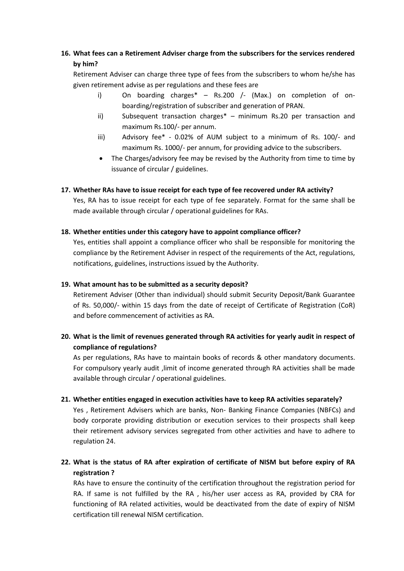# **16. What fees can a Retirement Adviser charge from the subscribers for the services rendered by him?**

Retirement Adviser can charge three type of fees from the subscribers to whom he/she has given retirement advise as per regulations and these fees are

- i) On boarding charges<sup>\*</sup> Rs.200 /- (Max.) on completion of onboarding/registration of subscriber and generation of PRAN.
- ii) Subsequent transaction charges\* minimum Rs.20 per transaction and maximum Rs.100/- per annum.
- iii) Advisory fee\* 0.02% of AUM subject to a minimum of Rs. 100/- and maximum Rs. 1000/- per annum, for providing advice to the subscribers.
- The Charges/advisory fee may be revised by the Authority from time to time by issuance of circular / guidelines.

## **17. Whether RAs have to issue receipt for each type of fee recovered under RA activity?**

Yes, RA has to issue receipt for each type of fee separately. Format for the same shall be made available through circular / operational guidelines for RAs.

## **18. Whether entities under this category have to appoint compliance officer?**

Yes, entities shall appoint a compliance officer who shall be responsible for monitoring the compliance by the Retirement Adviser in respect of the requirements of the Act, regulations, notifications, guidelines, instructions issued by the Authority.

## **19. What amount has to be submitted as a security deposit?**

Retirement Adviser (Other than individual) should submit Security Deposit/Bank Guarantee of Rs. 50,000/- within 15 days from the date of receipt of Certificate of Registration (CoR) and before commencement of activities as RA.

## **20. What is the limit of revenues generated through RA activities for yearly audit in respect of compliance of regulations?**

As per regulations, RAs have to maintain books of records & other mandatory documents. For compulsory yearly audit ,limit of income generated through RA activities shall be made available through circular / operational guidelines.

## **21. Whether entities engaged in execution activities have to keep RA activities separately?**

Yes , Retirement Advisers which are banks, Non- Banking Finance Companies (NBFCs) and body corporate providing distribution or execution services to their prospects shall keep their retirement advisory services segregated from other activities and have to adhere to regulation 24.

# **22. What is the status of RA after expiration of certificate of NISM but before expiry of RA registration ?**

RAs have to ensure the continuity of the certification throughout the registration period for RA. If same is not fulfilled by the RA , his/her user access as RA, provided by CRA for functioning of RA related activities, would be deactivated from the date of expiry of NISM certification till renewal NISM certification.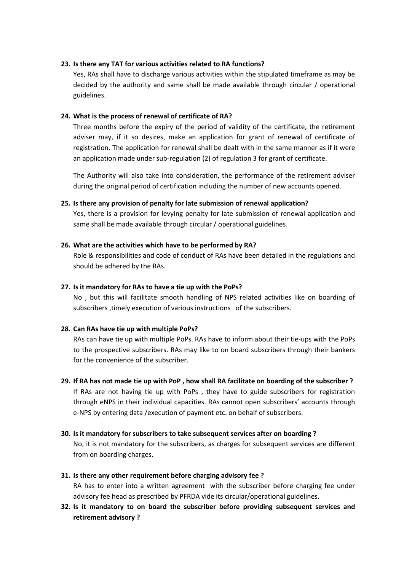#### **23. Is there any TAT for various activities related to RA functions?**

Yes, RAs shall have to discharge various activities within the stipulated timeframe as may be decided by the authority and same shall be made available through circular / operational guidelines.

#### **24. What is the process of renewal of certificate of RA?**

Three months before the expiry of the period of validity of the certificate, the retirement adviser may, if it so desires, make an application for grant of renewal of certificate of registration. The application for renewal shall be dealt with in the same manner as if it were an application made under sub-regulation (2) of regulation 3 for grant of certificate.

The Authority will also take into consideration, the performance of the retirement adviser during the original period of certification including the number of new accounts opened.

#### **25. Is there any provision of penalty for late submission of renewal application?**

Yes, there is a provision for levying penalty for late submission of renewal application and same shall be made available through circular / operational guidelines.

#### **26. What are the activities which have to be performed by RA?**

Role & responsibilities and code of conduct of RAs have been detailed in the regulations and should be adhered by the RAs.

#### **27. Is it mandatory for RAs to have a tie up with the PoPs?**

No , but this will facilitate smooth handling of NPS related activities like on boarding of subscribers ,timely execution of various instructions of the subscribers.

## **28. Can RAs have tie up with multiple PoPs?**

RAs can have tie up with multiple PoPs. RAs have to inform about their tie-ups with the PoPs to the prospective subscribers. RAs may like to on board subscribers through their bankers for the convenience of the subscriber.

## **29. If RA has not made tie up with PoP , how shall RA facilitate on boarding of the subscriber ?**

If RAs are not having tie up with PoPs , they have to guide subscribers for registration through eNPS in their individual capacities. RAs cannot open subscribers' accounts through e-NPS by entering data /execution of payment etc. on behalf of subscribers.

## **30. Is it mandatory for subscribers to take subsequent services after on boarding ?**

No, it is not mandatory for the subscribers, as charges for subsequent services are different from on boarding charges.

## **31. Is there any other requirement before charging advisory fee ?**

RA has to enter into a written agreement with the subscriber before charging fee under advisory fee head as prescribed by PFRDA vide its circular/operational guidelines.

**32. Is it mandatory to on board the subscriber before providing subsequent services and retirement advisory ?**